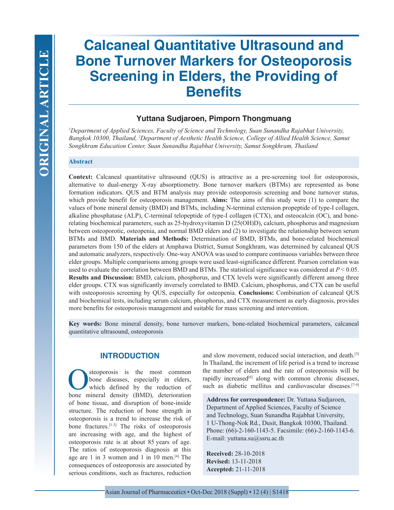# **Calcaneal Quantitative Ultrasound and Bone Turnover Markers for Osteoporosis Screening in Elders, the Providing of Benefits**

# **Yuttana Sudjaroen, Pimporn Thongmuang**

*1 Department of Applied Sciences, Faculty of Science and Technology, Suan Sunandha Rajabhat University, Bangkok 10300, Thailand, 2 Department of Aesthetic Health Science, College of Allied Health Science, Samut Songkhram Education Center, Suan Sunandha Rajabhat University, Samut Songkhram, Thailand*

## **Abstract**

Context: Calcaneal quantitative ultrasound (QUS) is attractive as a pre-screening tool for osteoporosis, alternative to dual-energy X-ray absorptiometry. Bone turnover markers (BTMs) are represented as bone formation indicators. QUS and BTM analysis may provide osteoporosis screening and bone turnover status, which provide benefit for osteoporosis management. **Aims:** The aims of this study were (1) to compare the values of bone mineral density (BMD) and BTMs, including N-terminal extension propeptide of type-I collagen, alkaline phosphatase (ALP), C-terminal telopeptide of type-I collagen (CTX), and osteocalcin (OC), and bonerelating biochemical parameters, such as 25-hydroxyvitamin D (25(OH)D), calcium, phosphorus and magnesium between osteoporotic, osteopenia, and normal BMD elders and (2) to investigate the relationship between serum BTMs and BMD. **Materials and Methods:** Determination of BMD, BTMs, and bone-related biochemical parameters from 150 of the elders at Amphawa District, Sumut Songkhram, was determined by calcaneal QUS and automatic analyzers, respectively. One-way ANOVA was used to compare continuous variables between three elder groups. Multiple comparisons among groups were used least-significance different. Pearson correlation was used to evaluate the correlation between BMD and BTMs. The statistical significance was considered at *P* < 0.05. **Results and Discussion:** BMD, calcium, phosphorus, and CTX levels were significantly different among three elder groups. CTX was significantly inversely correlated to BMD. Calcium, phosphorus, and CTX can be useful with osteoporosis screening by QUS, especially for osteopenia. **Conclusions:** Combination of calcaneal QUS and biochemical tests, including serum calcium, phosphorus, and CTX measurement as early diagnosis, provides more benefits for osteoporosis management and suitable for mass screening and intervention.

**Key words:** Bone mineral density, bone turnover markers, bone-related biochemical parameters, calcaneal quantitative ultrasound, osteoporosis

## **INTRODUCTION**

Steoporosis is the most common<br>bone diseases, especially in elders,<br>which defined by the reduction of<br>hone mineral density (BMD) deterioration bone diseases, especially in elders, which defined by the reduction of bone mineral density (BMD), deterioration of bone tissue, and disruption of bone-inside structure. The reduction of bone strength in osteoporosis is a trend to increase the risk of bone fractures.[1-3] The risks of osteoporosis are increasing with age, and the highest of osteoporosis rate is at about 85 years of age. The ratios of osteoporosis diagnosis at this age are 1 in 3 women and 1 in 10 men.[4] The consequences of osteoporosis are associated by serious conditions, such as fractures, reduction

and slow movement, reduced social interaction, and death.[5] In Thailand, the increment of life period is a trend to increase the number of elders and the rate of osteoporosis will be rapidly increased<sup>[6]</sup> along with common chronic diseases, such as diabetic mellitus and cardiovascular diseases.<sup>[7-9]</sup>

**Address for correspondence:** Dr. Yuttana Sudjaroen, Department of Applied Sciences, Faculty of Science and Technology, Suan Sunandha Rajabhat University, 1 U-Thong-Nok Rd., Dusit, Bangkok 10300, Thailand. Phone: (66)-2-160-1143-5. Facsimile: (66)-2-160-1143-6. E-mail: yuttana.su@ssru.ac.th

**Received:** 28-10-2018 **Revised:** 13-11-2018 **Accepted:** 21-11-2018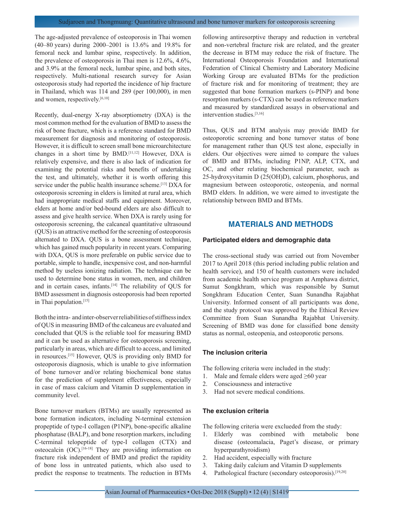The age-adjusted prevalence of osteoporosis in Thai women (40–80 years) during 2000–2001 is 13.6% and 19.8% for femoral neck and lumbar spine, respectively. In addition, the prevalence of osteoporosis in Thai men is 12.6%, 4.6%, and 3.9% at the femoral neck, lumbar spine, and both sites, respectively. Multi-national research survey for Asian osteoporosis study had reported the incidence of hip fracture in Thailand, which was 114 and 289 (per 100,000), in men and women, respectively.<sup>[6,10]</sup>

Recently, dual-energy X-ray absorptiometry (DXA) is the most common method for the evaluation of BMD to assess the risk of bone fracture, which is a reference standard for BMD measurement for diagnosis and monitoring of osteoporosis. However, it is difficult to screen small bone microarchitecture changes in a short time by BMD.[11,12] However, DXA is relatively expensive, and there is also lack of indication for examining the potential risks and benefits of undertaking the test, and ultimately, whether it is worth offering this service under the public health insurance scheme.<sup>[13]</sup> DXA for osteoporosis screening in elders is limited at rural area, which had inappropriate medical staffs and equipment. Moreover, elders at home and/or bed-bound elders are also difficult to assess and give health service. When DXA is rarely using for osteoporosis screening, the calcaneal quantitative ultrasound (QUS) is an attractive method for the screening of osteoporosis alternated to DXA. QUS is a bone assessment technique, which has gained much popularity in recent years. Comparing with DXA, QUS is more preferable on public service due to portable, simple to handle, inexpensive cost, and non-harmful method by useless ionizing radiation. The technique can be used to determine bone status in women, men, and children and in certain cases, infants.<sup>[14]</sup> The reliability of QUS for BMD assessment in diagnosis osteoporosis had been reported in Thai population.<sup>[15]</sup>

Both the intra- and inter-observer reliabilities of stiffness index of QUS in measuring BMD of the calcaneus are evaluated and concluded that QUS is the reliable tool for measuring BMD and it can be used as alternative for osteoporosis screening, particularly in areas, which are difficult to access, and limited in resources.[15] However, QUS is providing only BMD for osteoporosis diagnosis, which is unable to give information of bone turnover and/or relating biochemical bone status for the prediction of supplement effectiveness, especially in case of mass calcium and Vitamin D supplementation in community level.

Bone turnover markers (BTMs) are usually represented as bone formation indicators, including N-terminal extension propeptide of type-I collagen (P1NP), bone-specific alkaline phosphatase (BALP), and bone resorption markers, including C-terminal telopeptide of type-I collagen (CTX) and osteocalcin (OC).[16-18] They are providing information on fracture risk independent of BMD and predict the rapidity of bone loss in untreated patients, which also used to predict the response to treatments. The reduction in BTMs

following antiresorptive therapy and reduction in vertebral and non-vertebral fracture risk are related, and the greater the decrease in BTM may reduce the risk of fracture. The International Osteoporosis Foundation and International Federation of Clinical Chemistry and Laboratory Medicine Working Group are evaluated BTMs for the prediction of fracture risk and for monitoring of treatment; they are suggested that bone formation markers (s-PINP) and bone resorption markers (s-CTX) can be used as reference markers and measured by standardized assays in observational and intervention studies.[3,16]

Thus, QUS and BTM analysis may provide BMD for osteoporotic screening and bone turnover status of bone for management rather than QUS test alone, especially in elders. Our objectives were aimed to compare the values of BMD and BTMs, including P1NP, ALP, CTX, and OC, and other relating biochemical parameter, such as 25-hydroxyvitamin D (25(OH)D), calcium, phosphorus, and magnesium between osteoporotic, osteopenia, and normal BMD elders. In addition, we were aimed to investigate the relationship between BMD and BTMs.

## **MATERIALS AND METHODS**

#### **Participated elders and demographic data**

The cross-sectional study was carried out from November 2017 to April 2018 (this period including public relation and health service), and 150 of health customers were included from academic health service program at Amphawa district, Sumut Songkhram, which was responsible by Sumut Songkhram Education Center, Suan Sunandha Rajabhat University. Informed consent of all participants was done, and the study protocol was approved by the Ethical Review Committee from Suan Sunandha Rajabhat University. Screening of BMD was done for classified bone density status as normal, osteopenia, and osteoporotic persons.

## **The inclusion criteria**

The following criteria were included in the study:

- 1. Male and female elders were aged ≥60 year
- 2. Consciousness and interactive
- 3. Had not severe medical conditions.

## **The exclusion criteria**

The following criteria were exclueded from the study:

- 1. Elderly was combined with metabolic bone disease (osteomalacia, Paget's disease, or primary hyperparathyroidism)
- 2. Had accident, especially with fracture
- 3. Taking daily calcium and Vitamin D supplements
- 4. Pathological fracture (secondary osteoporosis).<sup>[19,20]</sup>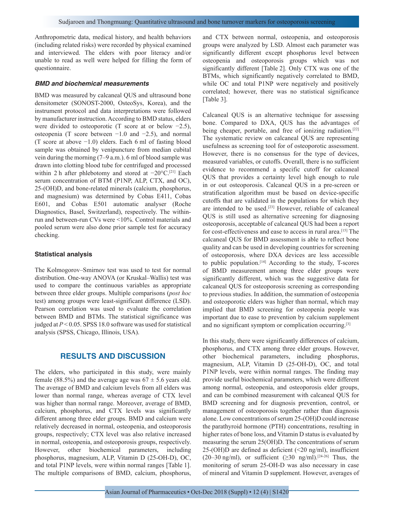Anthropometric data, medical history, and health behaviors (including related risks) were recorded by physical examined and interviewed. The elders with poor literacy and/or unable to read as well were helped for filling the form of questionnaire.

#### *BMD and biochemical measurements*

BMD was measured by calcaneal QUS and ultrasound bone densitometer (SONOST-2000, OsteoSys, Korea), and the instrument protocol and data interpretations were followed by manufacturer instruction. According to BMD status, elders were divided to osteoporotic (T score at or below −2.5), osteopenia (T score between −1.0 and −2.5), and normal (T score at above −1.0) elders. Each 6 ml of fasting blood sample was obtained by venipuncture from median cubital vein during the morning (7–9 a.m.). 6 ml of blood sample was drawn into clotting blood tube for centrifuged and processed within 2 h after phlebotomy and stored at −20°C.[21] Each serum concentration of BTM (P1NP, ALP, CTX, and OC), 25-(OH)D, and bone-related minerals (calcium, phosphorus, and magnesium) was determined by Cobas E411, Cobas E601, and Cobas E501 automatic analyser (Roche Diagnostics, Basel, Switzerland), respectively. The withinrun and between-run CVs were <10%. Control materials and pooled serum were also done prior sample test for accuracy checking.

#### **Statistical analysis**

The Kolmogorov–Smirnov test was used to test for normal distribution. One-way ANOVA (or Kruskal–Wallis) test was used to compare the continuous variables as appropriate between three elder groups. Multiple comparisons (*post hoc* test) among groups were least-significant difference (LSD). Pearson correlation was used to evaluate the correlation between BMD and BTMs. The statistical significance was judged at *P* < 0.05. SPSS 18.0 software was used for statistical analysis (SPSS, Chicago, Illinois, USA).

## **RESULTS AND DISCUSSION**

The elders, who participated in this study, were mainly female (88.5%) and the average age was  $67 \pm 5.6$  years old. The average of BMD and calcium levels from all elders was lower than normal range, whereas average of CTX level was higher than normal range. Moreover, average of BMD, calcium, phosphorus, and CTX levels was significantly different among three elder groups. BMD and calcium were relatively decreased in normal, osteopenia, and osteoporosis groups, respectively; CTX level was also relative increased in normal, osteopenia, and osteoporosis groups, respectively. However, other biochemical parameters, including phosphorus, magnesium, ALP, Vitamin D (25-OH-D), OC, and total P1NP levels, were within normal ranges [Table 1]. The multiple comparisons of BMD, calcium, phosphorus, and CTX between normal, osteopenia, and osteoporosis groups were analyzed by LSD. Almost each parameter was significantly different except phosphorus level between osteopenia and osteoporosis groups which was not significantly different [Table 2]. Only CTX was one of the BTMs, which significantly negatively correlated to BMD, while OC and total P1NP were negatively and positively correlated; however, there was no statistical significance [Table 3].

Calcaneal QUS is an alternative technique for assessing bone. Compared to DXA, QUS has the advantages of being cheaper, portable, and free of ionizing radiation.<sup>[22]</sup> The systematic review on calcaneal QUS are representing usefulness as screening tool for of osteoporotic assessment. However, there is no consensus for the type of devices, measured variables, or cutoffs. Overall, there is no sufficient evidence to recommend a specific cutoff for calcaneal QUS that provides a certainty level high enough to rule in or out osteoporosis. Calcaneal QUS in a pre-screen or stratification algorithm must be based on device-specific cutoffs that are validated in the populations for which they are intended to be used.[23] However, reliable of calcaneal QUS is still used as alternative screening for diagnosing osteoporosis, acceptable of calcaneal QUS had been a report for cost-effectiveness and ease to access in rural area.[15] The calcaneal QUS for BMD assessment is able to reflect bone quality and can be used in developing countries for screening of osteoporosis, where DXA devices are less accessible to public population.[14] According to the study, T-scores of BMD measurement among three elder groups were significantly different, which was the suggestive data for calcaneal QUS for osteoporosis screening as corresponding to previous studies. In addition, the summation of osteopenia and osteoporotic elders was higher than normal, which may implied that BMD screening for osteopenia people was important due to ease to prevention by calcium supplement and no significant symptom or complication occurring.<sup>[3]</sup>

In this study, there were significantly differences of calcium, phosphorus, and CTX among three elder groups. However, other biochemical parameters, including phosphorus, magnesium, ALP, Vitamin D (25-OH-D), OC, and total P1NP levels, were within normal ranges. The finding may provide useful biochemical parameters, which were different among normal, osteopenia, and osteoporosis elder groups, and can be combined measurement with calcaneal QUS for BMD screening and for diagnosis prevention, control, or management of osteoporosis together rather than diagnosis alone. Low concentrations of serum 25-(OH)D could increase the parathyroid hormone (PTH) concentrations, resulting in higher rates of bone loss, and Vitamin D status is evaluated by measuring the serum 25(OH)D. The concentrations of serum 25-(OH)D are defined as deficient (<20 ng/ml), insufficient (20–30 ng/ml), or sufficient ( $\geq$ 30 ng/ml).<sup>[24-26]</sup> Thus, the monitoring of serum 25-OH-D was also necessary in case of mineral and Vitamin D supplement. However, averages of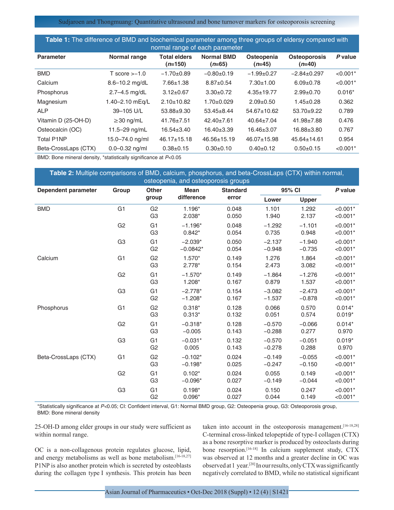Sudjaroen and Thongmuang: Quantitative ultrasound and bone turnover markers for osteoporosis screening

| Table 1: The difference of BMD and biochemical parameter among three groups of eldersy compared with<br>normal range of each parameter |                    |                                  |                               |                        |                                 |            |
|----------------------------------------------------------------------------------------------------------------------------------------|--------------------|----------------------------------|-------------------------------|------------------------|---------------------------------|------------|
| <b>Parameter</b>                                                                                                                       | Normal range       | <b>Total elders</b><br>$(n=150)$ | <b>Normal BMD</b><br>$(n=65)$ | Osteopenia<br>$(n=45)$ | <b>Osteoporosis</b><br>$(n=40)$ | P value    |
| <b>BMD</b>                                                                                                                             | $T$ score $> -1.0$ | $-1.70+0.89$                     | $-0.80+0.19$                  | $-1.99+0.27$           | $-2.84 \pm 0.297$               | $< 0.001*$ |
| Calcium                                                                                                                                | 8.6-10.2 mg/dL     | $7.66 \pm 1.38$                  | $8.87 \pm 0.54$               | $7.30 \pm 1.00$        | $6.09 + 0.78$                   | $< 0.001*$ |
| Phosphorus                                                                                                                             | $2.7 - 4.5$ mg/dL  | $3.12 \pm 0.67$                  | $3.30 \pm 0.72$               | $4.35 \pm 19.77$       | $2.99 + 0.70$                   | $0.016*$   |
| Magnesium                                                                                                                              | 1.40-2.10 mEg/L    | $2.10 \pm 10.82$                 | $1.70+0.029$                  | $2.09 \pm 0.50$        | $1.45 \pm 0.28$                 | 0.362      |
| <b>ALP</b>                                                                                                                             | 39-105 U/L         | $53.88 + 9.30$                   | $53.45 \pm 8.44$              | 54.67±10.62            | $53.70+9.22$                    | 0.789      |
| Vitamin D (25-OH-D)                                                                                                                    | $\geq$ 30 ng/mL    | $41.76 \pm 7.51$                 | $42.40 \pm 7.61$              | $40.64 \pm 7.04$       | $41.98 \pm 7.88$                | 0.476      |
| Osteocalcin (OC)                                                                                                                       | 11.5 $-29$ ng/mL   | $16.54 \pm 3.40$                 | $16.40 \pm 3.39$              | 16.46±3.07             | 16.88±3.80                      | 0.767      |
| <b>Total P1NP</b>                                                                                                                      | 15.0-74.0 ng/ml    | $46.17 \pm 15.18$                | $46.56 \pm 15.19$             | 46.07±15.98            | $45.64 \pm 14.61$               | 0.954      |
| Beta-CrossLaps (CTX)                                                                                                                   | $0.0 - 0.32$ ng/ml | $0.38 + 0.15$                    | $0.30+0.10$                   | $0.40+0.12$            | $0.50+0.15$                     | $< 0.001*$ |

BMD: Bone mineral density, \*statistically significance at *P*<0.05

| Table 2: Multiple comparisons of BMD, calcium, phosphorus, and beta-CrossLaps (CTX) within normal,<br>osteopenia, and osteoporosis groups |                               |                                  |                         |                |                      |                      |                          |
|-------------------------------------------------------------------------------------------------------------------------------------------|-------------------------------|----------------------------------|-------------------------|----------------|----------------------|----------------------|--------------------------|
| Dependent parameter                                                                                                                       | Other<br><b>Mean</b><br>Group |                                  | <b>Standard</b>         | 95% CI         |                      | P value              |                          |
|                                                                                                                                           |                               | group                            | difference              | error          | Lower                | Upper                |                          |
| <b>BMD</b>                                                                                                                                | G <sub>1</sub>                | G <sub>2</sub><br>G <sub>3</sub> | 1.196*<br>$2.038*$      | 0.048<br>0.050 | 1.101<br>1.940       | 1.292<br>2.137       | $< 0.001*$<br>$< 0.001*$ |
|                                                                                                                                           | G <sub>2</sub>                | G <sub>1</sub><br>G <sub>3</sub> | $-1.196*$<br>$0.842*$   | 0.048<br>0.054 | $-1.292$<br>0.735    | $-1.101$<br>0.948    | $< 0.001*$<br>$< 0.001*$ |
|                                                                                                                                           | G <sub>3</sub>                | G <sub>1</sub><br>G <sub>2</sub> | $-2.039*$<br>$-0.0842*$ | 0.050<br>0.054 | $-2.137$<br>$-0.948$ | $-1.940$<br>$-0.735$ | $< 0.001*$<br>$< 0.001*$ |
| Calcium                                                                                                                                   | G <sub>1</sub>                | G <sub>2</sub><br>G <sub>3</sub> | $1.570*$<br>$2.778*$    | 0.149<br>0.154 | 1.276<br>2.473       | 1.864<br>3.082       | $< 0.001*$<br>$< 0.001*$ |
|                                                                                                                                           | G <sub>2</sub>                | G <sub>1</sub><br>G <sub>3</sub> | $-1.570*$<br>$1.208*$   | 0.149<br>0.167 | $-1.864$<br>0.879    | $-1.276$<br>1.537    | $< 0.001*$<br>$< 0.001*$ |
|                                                                                                                                           | G <sub>3</sub>                | G <sub>1</sub><br>G <sub>2</sub> | $-2.778*$<br>$-1.208*$  | 0.154<br>0.167 | $-3.082$<br>$-1.537$ | $-2.473$<br>$-0.878$ | $< 0.001*$<br>$< 0.001*$ |
| Phosphorus                                                                                                                                | G <sub>1</sub>                | G <sub>2</sub><br>G <sub>3</sub> | $0.318*$<br>$0.313*$    | 0.128<br>0.132 | 0.066<br>0.051       | 0.570<br>0.574       | $0.014*$<br>$0.019*$     |
|                                                                                                                                           | G <sub>2</sub>                | G <sub>1</sub><br>G <sub>3</sub> | $-0.318*$<br>$-0.005$   | 0.128<br>0.143 | $-0.570$<br>$-0.288$ | $-0.066$<br>0.277    | $0.014*$<br>0.970        |
|                                                                                                                                           | G <sub>3</sub>                | G <sub>1</sub><br>G <sub>2</sub> | $-0.031*$<br>0.005      | 0.132<br>0.143 | $-0.570$<br>$-0.278$ | $-0.051$<br>0.288    | $0.019*$<br>0.970        |
| Beta-CrossLaps (CTX)                                                                                                                      | G <sub>1</sub>                | G <sub>2</sub><br>G <sub>3</sub> | $-0.102*$<br>$-0.198*$  | 0.024<br>0.025 | $-0.149$<br>$-0.247$ | $-0.055$<br>$-0.150$ | $< 0.001*$<br>$< 0.001*$ |
|                                                                                                                                           | G <sub>2</sub>                | G <sub>1</sub><br>G <sub>3</sub> | $0.102*$<br>$-0.096*$   | 0.024<br>0.027 | 0.055<br>$-0.149$    | 0.149<br>$-0.044$    | $< 0.001*$<br>$< 0.001*$ |
|                                                                                                                                           | G <sub>3</sub>                | G <sub>1</sub><br>G <sub>2</sub> | $0.198*$<br>$0.096*$    | 0.024<br>0.027 | 0.150<br>0.044       | 0.247<br>0.149       | $< 0.001*$<br>$< 0.001*$ |

\*Statistically significance at *P<*0.05; CI: Confident interval, G1: Normal BMD group, G2: Osteopenia group, G3: Osteoporosis group, BMD: Bone mineral density

25-OH-D among elder groups in our study were sufficient as within normal range.

OC is a non-collagenous protein regulates glucose, lipid, and energy metabolisms as well as bone metabolism.[16-18,27] P1NP is also another protein which is secreted by osteoblasts during the collagen type I synthesis. This protein has been taken into account in the osteoporosis management.<sup>[16-18,28]</sup> C-terminal cross-linked telopeptide of type-I collagen (CTX) as a bone resorptive marker is produced by osteoclasts during bone resorption.<sup>[16-18]</sup> In calcium supplement study, CTX was observed at 12 months and a greater decline in OC was observed at 1 year.[20] In our results, only CTX was significantly negatively correlated to BMD, while no statistical significant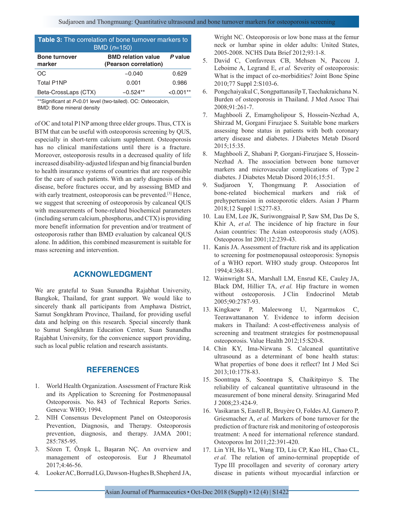| <b>Table 3:</b> The correlation of bone turnover markers to<br>BMD $(n=150)$ |                                                    |             |  |  |  |  |
|------------------------------------------------------------------------------|----------------------------------------------------|-------------|--|--|--|--|
| <b>Bone turnover</b><br>marker                                               | <b>BMD relation value</b><br>(Pearson correlation) | P value     |  |  |  |  |
| OC                                                                           | $-0.040$                                           | 0.629       |  |  |  |  |
| <b>Total P1NP</b>                                                            | 0.001                                              | 0.986       |  |  |  |  |
| Beta-CrossLaps (CTX)                                                         | $-0.524**$                                         | $< 0.001**$ |  |  |  |  |

\*\*Significant at *P<*0.01 level (two‑tailed). OC: Osteocalcin, BMD: Bone mineral density

of OC and total P1NP among three elder groups. Thus, CTX is BTM that can be useful with osteoporosis screening by QUS, especially in short-term calcium supplement. Osteoporosis has no clinical manifestations until there is a fracture. Moreover, osteoporosis results in a decreased quality of life increased disability-adjusted lifespan and big financial burden to health insurance systems of countries that are responsible for the care of such patients. With an early diagnosis of this disease, before fractures occur, and by assessing BMD and with early treatment, osteoporosis can be prevented.<sup>[3]</sup> Hence, we suggest that screening of osteoporosis by calcaneal QUS with measurements of bone-related biochemical parameters (including serum calcium, phosphorus, and CTX) is providing more benefit information for prevention and/or treatment of osteoporosis rather than BMD evaluation by calcaneal QUS alone. In addition, this combined measurement is suitable for mass screening and intervention.

# **ACKNOWLEDGMENT**

We are grateful to Suan Sunandha Rajabhat University, Bangkok, Thailand, for grant support. We would like to sincerely thank all participants from Amphawa District, Samut Songkhram Province, Thailand, for providing useful data and helping on this research. Special sincerely thank to Sumut Songkhram Education Center, Suan Sunandha Rajabhat University, for the convenience support providing, such as local public relation and research assistants.

## **REFERENCES**

- 1. World Health Organization. Assessment of Fracture Risk and its Application to Screening for Postmenopausal Osteoporosis. No. 843 of Technical Reports Series. Geneva: WHO; 1994.
- 2. NIH Consensus Development Panel on Osteoporosis Prevention, Diagnosis, and Therapy. Osteoporosis prevention, diagnosis, and therapy. JAMA 2001; 285:785-95.
- 3. Sözen T, Özışık L, Başaran NÇ. An overview and management of osteoporosis. Eur J Rheumatol 2017;4:46-56.
- 4. Looker AC, Borrud LG, Dawson-Hughes B, Shepherd JA,

Wright NC. Osteoporosis or low bone mass at the femur neck or lumbar spine in older adults: United States, 2005-2008. NCHS Data Brief 2012;93:1-8.

- 5. David C, Confavreux CB, Mehsen N, Paccou J, Leboime A, Legrand E, *et al.* Severity of osteoporosis: What is the impact of co-morbidities? Joint Bone Spine 2010;77 Suppl 2:S103-6.
- 6. Pongchaiyakul C, Songpattanasilp T, Taechakraichana N. Burden of osteoporosis in Thailand. J Med Assoc Thai 2008;91:261-7.
- 7. Maghbooli Z, Emamgholipour S, Hossein-Nezhad A, Shirzad M, Gorgani Firuzjaee S. Suitable bone markers assessing bone status in patients with both coronary artery disease and diabetes. J Diabetes Metab Disord 2015;15:35.
- 8. Maghbooli Z, Shabani P, Gorgani-Firuzjaee S, Hossein-Nezhad A. The association between bone turnover markers and microvascular complications of Type 2 diabetes. J Diabetes Metab Disord 2016;15:51.
- 9. Sudjaroen Y, Thongmuang P. Association of bone-related biochemical markers and risk of prehypertension in osteoporotic elders. Asian J Pharm 2018;12 Suppl 1:S277-83.
- 10. Lau EM, Lee JK, Suriwongpaisal P, Saw SM, Das De S, Khir A, *et al.* The incidence of hip fracture in four Asian countries: The Asian osteoporosis study (AOS). Osteoporos Int 2001;12:239-43.
- 11. Kanis JA. Assessment of fracture risk and its application to screening for postmenopausal osteoporosis: Synopsis of a WHO report. WHO study group. Osteoporos Int 1994;4:368-81.
- 12. Wainwright SA, Marshall LM, Ensrud KE, Cauley JA, Black DM, Hillier TA, *et al.* Hip fracture in women without osteoporosis. J Clin Endocrinol Metab 2005;90:2787-93.
- 13. Kingkaew P, Maleewong U, Ngarmukos C, Teerawattananon Y. Evidence to inform decision makers in Thailand: A cost-effectiveness analysis of screening and treatment strategies for postmenopausal osteoporosis. Value Health 2012;15:S20-8.
- 14. Chin KY, Ima-Nirwana S. Calcaneal quantitative ultrasound as a determinant of bone health status: What properties of bone does it reflect? Int J Med Sci 2013;10:1778-83.
- 15. Soontrapa S, Soontrapa S, Chaikitpinyo S. The reliability of calcaneal quantitative ultrasound in the measurement of bone mineral density. Srinagarind Med J 2008;23:424-9.
- 16. Vasikaran S, Eastell R, Bruyère O, Foldes AJ, Garnero P, Griesmacher A, *et al.* Markers of bone turnover for the prediction of fracture risk and monitoring of osteoporosis treatment: A need for international reference standard. Osteoporos Int 2011;22:391-420.
- 17. Lin YH, Ho YL, Wang TD, Liu CP, Kao HL, Chao CL, *et al.* The relation of amino-terminal propeptide of Type III procollagen and severity of coronary artery disease in patients without myocardial infarction or